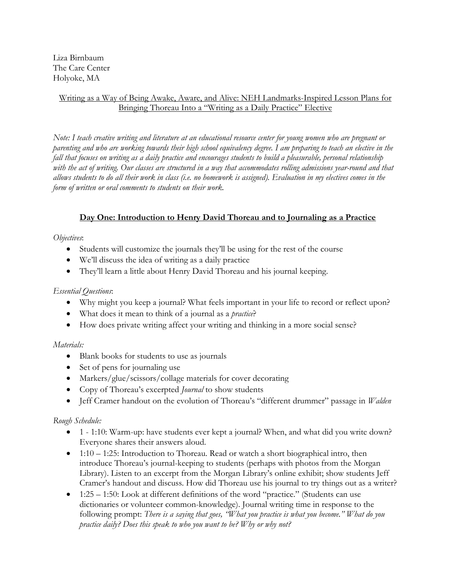Liza Birnbaum The Care Center Holyoke, MA

## Writing as a Way of Being Awake, Aware, and Alive: NEH Landmarks-Inspired Lesson Plans for Bringing Thoreau Into a "Writing as a Daily Practice" Elective

*Note: I teach creative writing and literature at an educational resource center for young women who are pregnant or parenting and who are working towards their high school equivalency degree. I am preparing to teach an elective in the fall that focuses on writing as a daily practice and encourages students to build a pleasurable, personal relationship*  with the act of writing. Our classes are structured in a way that accommodates rolling admissions year-round and that *allows students to do all their work in class (i.e. no homework is assigned). Evaluation in my electives comes in the form of written or oral comments to students on their work.*

# **Day One: Introduction to Henry David Thoreau and to Journaling as a Practice**

## *Objectives*:

- Students will customize the journals they'll be using for the rest of the course
- We'll discuss the idea of writing as a daily practice
- They'll learn a little about Henry David Thoreau and his journal keeping.

## *Essential Questions*:

- Why might you keep a journal? What feels important in your life to record or reflect upon?
- What does it mean to think of a journal as a *practice*?
- How does private writing affect your writing and thinking in a more social sense?

# *Materials:*

- Blank books for students to use as journals
- Set of pens for journaling use
- Markers/glue/scissors/collage materials for cover decorating
- Copy of Thoreau's excerpted *Journal* to show students
- Jeff Cramer handout on the evolution of Thoreau's "different drummer" passage in *Walden*

# *Rough Schedule:*

- 1 1:10: Warm-up: have students ever kept a journal? When, and what did you write down? Everyone shares their answers aloud.
- $\bullet$  1:10 1:25: Introduction to Thoreau. Read or watch a short biographical intro, then introduce Thoreau's journal-keeping to students (perhaps with photos from the Morgan Library). Listen to an excerpt from the Morgan Library's online exhibit; show students Jeff Cramer's handout and discuss. How did Thoreau use his journal to try things out as a writer?
- 1:25 1:50: Look at different definitions of the word "practice." (Students can use dictionaries or volunteer common-knowledge). Journal writing time in response to the following prompt: *There is a saying that goes, "What you practice is what you become." What do you practice daily? Does this speak to who you want to be? Why or why not?*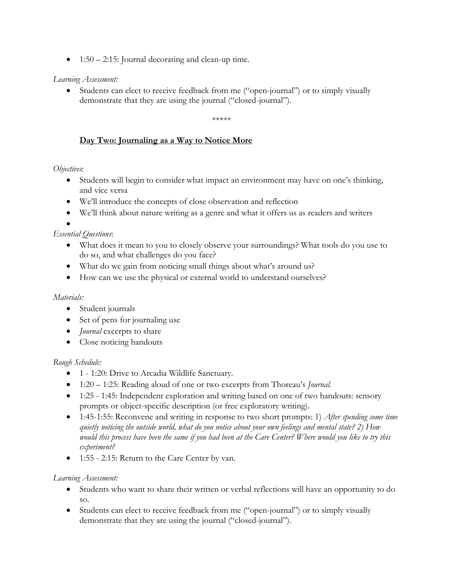$\bullet$  1:50 – 2:15: Journal decorating and clean-up time.

#### *Learning Assessment:*

 Students can elect to receive feedback from me ("open-journal") or to simply visually demonstrate that they are using the journal ("closed-journal").

#### \*\*\*\*\*

## **Day Two: Journaling as a Way to Notice More**

#### *Objectives*:

- Students will begin to consider what impact an environment may have on one's thinking, and vice versa
- We'll introduce the concepts of close observation and reflection
- We'll think about nature writing as a genre and what it offers us as readers and writers

 $\bullet$ 

#### *Essential Questions*:

- What does it mean to you to closely observe your surroundings? What tools do you use to do so, and what challenges do you face?
- What do we gain from noticing small things about what's around us?
- How can we use the physical or external world to understand ourselves?

#### *Materials:*

- Student journals
- Set of pens for journaling use
- *Journal* excerpts to share
- Close noticing handouts

#### *Rough Schedule:*

- 1 1:20: Drive to Arcadia Wildlife Sanctuary.
- 1:20 1:25: Reading aloud of one or two excerpts from Thoreau's *Journal.*
- 1:25 1:45: Independent exploration and writing based on one of two handouts: sensory prompts or object-specific description (or free exploratory writing).
- 1:45-1:55: Reconvene and writing in response to two short prompts: 1) *After spending some time quietly noticing the outside world, what do you notice about your own feelings and mental state? 2) How would this process have been the same if you had been at the Care Center? Where would you like to try this experiment?*
- 1:55 2:15: Return to the Care Center by van.

#### *Learning Assessment:*

- Students who want to share their written or verbal reflections will have an opportunity to do so.
- Students can elect to receive feedback from me ("open-journal") or to simply visually demonstrate that they are using the journal ("closed-journal").